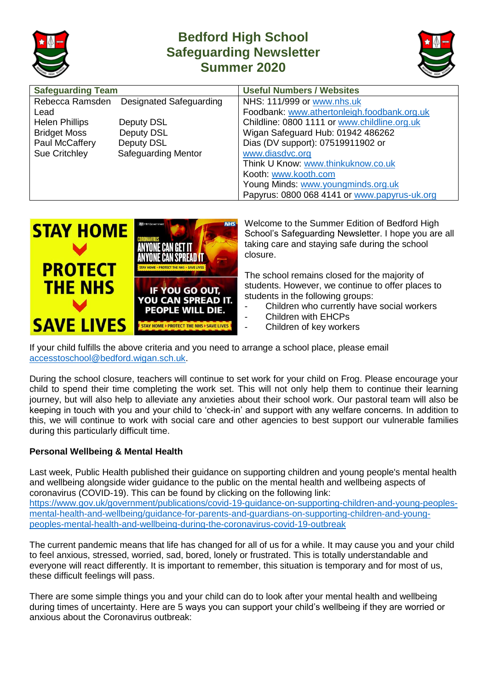

## **Bedford High School Safeguarding Newsletter Summer 2020**



| <b>Safeguarding Team</b> |                                         | <b>Useful Numbers / Websites</b>             |
|--------------------------|-----------------------------------------|----------------------------------------------|
|                          | Rebecca Ramsden Designated Safeguarding | NHS: 111/999 or www.nhs.uk                   |
| Lead                     |                                         | Foodbank: www.athertonleigh.foodbank.org.uk  |
| <b>Helen Phillips</b>    | Deputy DSL                              | Childline: 0800 1111 or www.childline.org.uk |
| <b>Bridget Moss</b>      | Deputy DSL                              | Wigan Safeguard Hub: 01942 486262            |
| Paul McCaffery           | Deputy DSL                              | Dias (DV support): 07519911902 or            |
| Sue Critchley            | <b>Safeguarding Mentor</b>              | www.diasdvc.org                              |
|                          |                                         | Think U Know: www.thinkuknow.co.uk           |
|                          |                                         | Kooth: www.kooth.com                         |
|                          |                                         | Young Minds: www.youngminds.org.uk           |
|                          |                                         | Papyrus: 0800 068 4141 or www.papyrus-uk.org |



Welcome to the Summer Edition of Bedford High School's Safeguarding Newsletter. I hope you are all taking care and staying safe during the school closure.

The school remains closed for the majority of students. However, we continue to offer places to students in the following groups:

- Children who currently have social workers
- Children with EHCPs
- Children of key workers

If your child fulfills the above criteria and you need to arrange a school place, please email [accesstoschool@bedford.wigan.sch.uk.](mailto:accesstoschool@bedford.wigan.sch.uk)

During the school closure, teachers will continue to set work for your child on Frog. Please encourage your child to spend their time completing the work set. This will not only help them to continue their learning journey, but will also help to alleviate any anxieties about their school work. Our pastoral team will also be keeping in touch with you and your child to 'check-in' and support with any welfare concerns. In addition to this, we will continue to work with social care and other agencies to best support our vulnerable families during this particularly difficult time.

## **Personal Wellbeing & Mental Health**

Last week, Public Health published their guidance on supporting children and young people's mental health and wellbeing alongside wider guidance to the public on the mental health and wellbeing aspects of coronavirus (COVID-19). This can be found by clicking on the following link: [https://www.gov.uk/government/publications/covid-19-guidance-on-supporting-children-and-young-peoples](https://www.gov.uk/government/publications/covid-19-guidance-on-supporting-children-and-young-peoples-mental-health-and-wellbeing/guidance-for-parents-and-carers-on-supporting-children-and-young-peoples-mental-health-and-wellbeing-during-the-coronavirus-covid-19-outbreak)[mental-health-and-wellbeing/guidance-for-parents-and-guardians-on-supporting-children-and-young](https://www.gov.uk/government/publications/covid-19-guidance-on-supporting-children-and-young-peoples-mental-health-and-wellbeing/guidance-for-parents-and-carers-on-supporting-children-and-young-peoples-mental-health-and-wellbeing-during-the-coronavirus-covid-19-outbreak)[peoples-mental-health-and-wellbeing-during-the-coronavirus-covid-19-outbreak](https://www.gov.uk/government/publications/covid-19-guidance-on-supporting-children-and-young-peoples-mental-health-and-wellbeing/guidance-for-parents-and-carers-on-supporting-children-and-young-peoples-mental-health-and-wellbeing-during-the-coronavirus-covid-19-outbreak)

The current pandemic means that life has changed for all of us for a while. It may cause you and your child to feel anxious, stressed, worried, sad, bored, lonely or frustrated. This is totally understandable and everyone will react differently. It is important to remember, this situation is temporary and for most of us, these difficult feelings will pass.

There are some simple things you and your child can do to look after your mental health and wellbeing during times of uncertainty. Here are 5 ways you can support your child's wellbeing if they are worried or anxious about the Coronavirus outbreak: